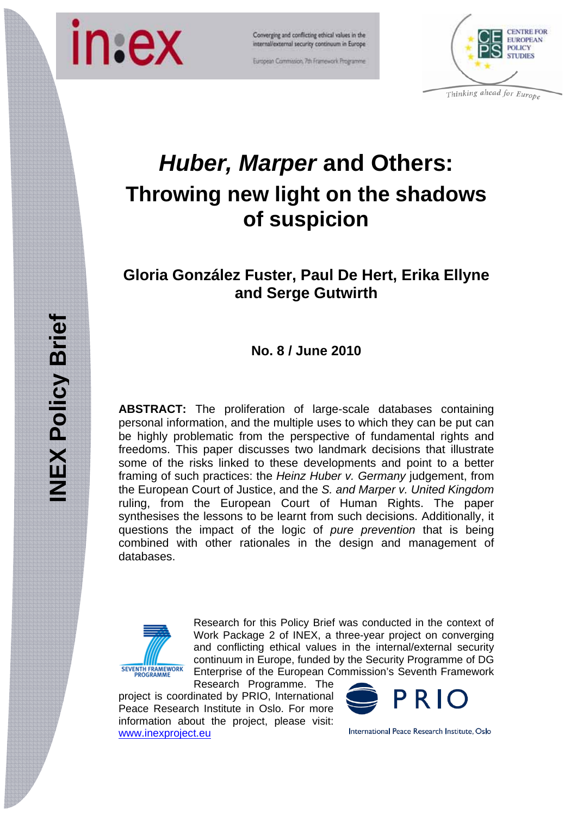

Converging and conflicting ethical values in the internal/external security continuum in Europe

European Commission, 7th Framework Programme



*Huber, Marper* **and Others: Throwing new light on the shadows of suspicion** 

# **Gloria González Fuster, Paul De Hert, Erika Ellyne and Serge Gutwirth**

# **No. 8 / June 2010**

**ABSTRACT:** The proliferation of large-scale databases containing personal information, and the multiple uses to which they can be put can be highly problematic from the perspective of fundamental rights and freedoms. This paper discusses two landmark decisions that illustrate some of the risks linked to these developments and point to a better framing of such practices: the *Heinz Huber v. Germany* judgement, from the European Court of Justice, and the *S. and Marper v. United Kingdom*  ruling, from the European Court of Human Rights. The paper synthesises the lessons to be learnt from such decisions. Additionally, it questions the impact of the logic of *pure prevention* that is being combined with other rationales in the design and management of databases.



Research for this Policy Brief was conducted in the context of Work Package 2 of INEX, a three-year project on converging and conflicting ethical values in the internal/external security continuum in Europe, funded by the Security Programme of DG Enterprise of the European Commission's Seventh Framework

Research Programme. The project is coordinated by PRIO, International Peace Research Institute in Oslo. For more information about the project, please visit: www.inexproject.eu



International Peace Research Institute, Oslo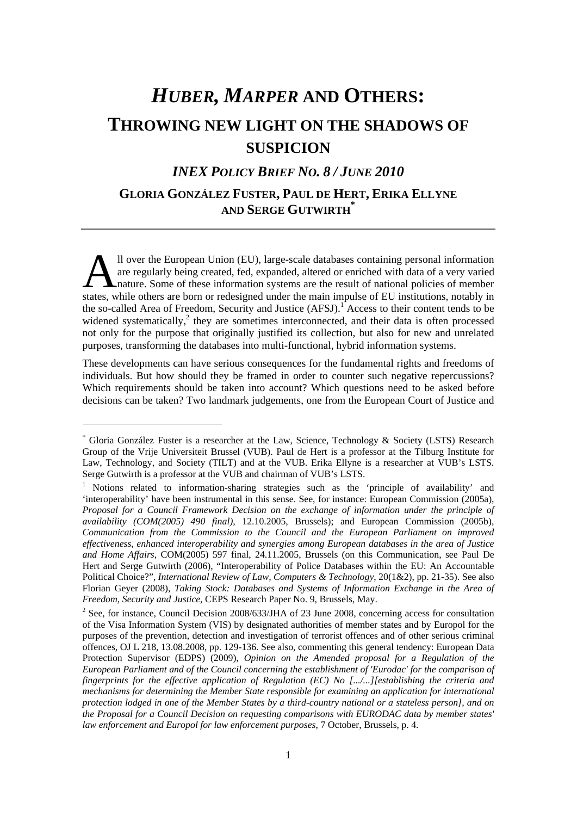# *HUBER, MARPER* **AND OTHERS: THROWING NEW LIGHT ON THE SHADOWS OF SUSPICION**

# *INEX POLICY BRIEF NO. 8 / JUNE 2010*

## **GLORIA GONZÁLEZ FUSTER, PAUL DE HERT, ERIKA ELLYNE AND SERGE GUTWIRTH\***

ll over the European Union (EU), large-scale databases containing personal information are regularly being created, fed, expanded, altered or enriched with data of a very varied nature. Some of these information systems are the result of national policies of member Il over the European Union (EU), large-scale databases containing personal information<br>are regularly being created, fed, expanded, altered or enriched with data of a very varied<br>nature. Some of these information systems ar the so-called Area of Freedom, Security and Justice (AFSJ).<sup>1</sup> Access to their content tends to be widened systematically, $\lambda$  they are sometimes interconnected, and their data is often processed not only for the purpose that originally justified its collection, but also for new and unrelated purposes, transforming the databases into multi-functional, hybrid information systems.

These developments can have serious consequences for the fundamental rights and freedoms of individuals. But how should they be framed in order to counter such negative repercussions? Which requirements should be taken into account? Which questions need to be asked before decisions can be taken? Two landmark judgements, one from the European Court of Justice and

1

<sup>\*</sup> Gloria González Fuster is a researcher at the Law, Science, Technology & Society (LSTS) Research Group of the Vrije Universiteit Brussel (VUB). Paul de Hert is a professor at the Tilburg Institute for Law, Technology, and Society (TILT) and at the VUB. Erika Ellyne is a researcher at VUB's LSTS. Serge Gutwirth is a professor at the VUB and chairman of VUB's LSTS.

<sup>&</sup>lt;sup>1</sup> Notions related to information-sharing strategies such as the 'principle of availability' and 'interoperability' have been instrumental in this sense. See, for instance: European Commission (2005a), *Proposal for a Council Framework Decision on the exchange of information under the principle of availability (COM(2005) 490 final)*, 12.10.2005, Brussels); and European Commission (2005b), *Communication from the Commission to the Council and the European Parliament on improved effectiveness, enhanced interoperability and synergies among European databases in the area of Justice and Home Affairs*, COM(2005) 597 final, 24.11.2005, Brussels (on this Communication, see Paul De Hert and Serge Gutwirth (2006), "Interoperability of Police Databases within the EU: An Accountable Political Choice?", *International Review of Law, Computers & Technology*, 20(1&2), pp. 21-35). See also Florian Geyer (2008), *Taking Stock: Databases and Systems of Information Exchange in the Area of Freedom, Security and Justice*, CEPS Research Paper No. 9, Brussels, May.

 $2^2$  See, for instance, Council Decision 2008/633/JHA of 23 June 2008, concerning access for consultation of the Visa Information System (VIS) by designated authorities of member states and by Europol for the purposes of the prevention, detection and investigation of terrorist offences and of other serious criminal offences, OJ L 218, 13.08.2008, pp. 129-136. See also, commenting this general tendency: European Data Protection Supervisor (EDPS) (2009), *Opinion on the Amended proposal for a Regulation of the European Parliament and of the Council concerning the establishment of 'Eurodac' for the comparison of fingerprints for the effective application of Regulation (EC) No [.../...][establishing the criteria and mechanisms for determining the Member State responsible for examining an application for international protection lodged in one of the Member States by a third-country national or a stateless person], and on the Proposal for a Council Decision on requesting comparisons with EURODAC data by member states' law enforcement and Europol for law enforcement purposes*, 7 October, Brussels, p. 4.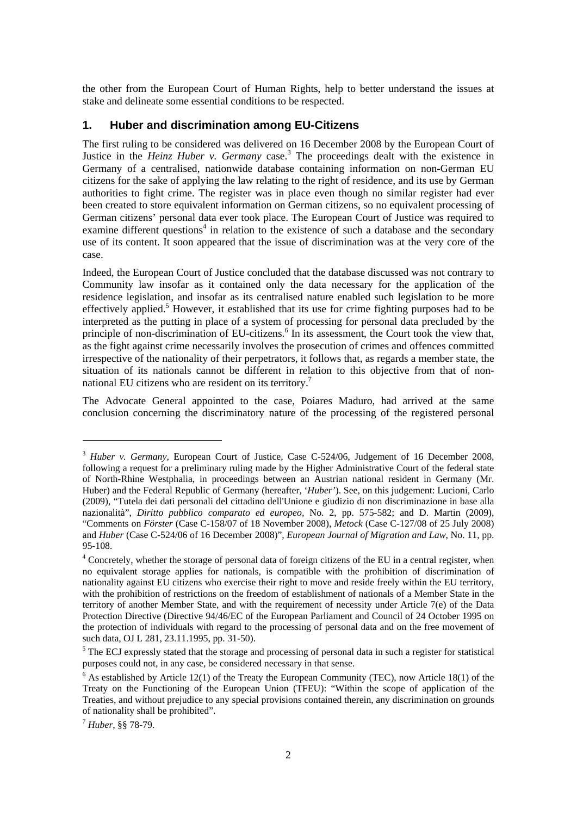the other from the European Court of Human Rights, help to better understand the issues at stake and delineate some essential conditions to be respected.

### **1. Huber and discrimination among EU-Citizens**

The first ruling to be considered was delivered on 16 December 2008 by the European Court of Justice in the *Heinz Huber v. Germany* case.<sup>3</sup> The proceedings dealt with the existence in Germany of a centralised, nationwide database containing information on non-German EU citizens for the sake of applying the law relating to the right of residence, and its use by German authorities to fight crime. The register was in place even though no similar register had ever been created to store equivalent information on German citizens, so no equivalent processing of German citizens' personal data ever took place. The European Court of Justice was required to examine different questions<sup>4</sup> in relation to the existence of such a database and the secondary use of its content. It soon appeared that the issue of discrimination was at the very core of the case.

Indeed, the European Court of Justice concluded that the database discussed was not contrary to Community law insofar as it contained only the data necessary for the application of the residence legislation, and insofar as its centralised nature enabled such legislation to be more effectively applied.<sup>5</sup> However, it established that its use for crime fighting purposes had to be interpreted as the putting in place of a system of processing for personal data precluded by the principle of non-discrimination of EU-citizens.<sup>6</sup> In its assessment, the Court took the view that, as the fight against crime necessarily involves the prosecution of crimes and offences committed irrespective of the nationality of their perpetrators, it follows that, as regards a member state, the situation of its nationals cannot be different in relation to this objective from that of nonnational EU citizens who are resident on its territory.<sup>7</sup>

The Advocate General appointed to the case, Poiares Maduro, had arrived at the same conclusion concerning the discriminatory nature of the processing of the registered personal

-

<sup>&</sup>lt;sup>3</sup> *Huber v. Germany*, European Court of Justice, Case C-524/06, Judgement of 16 December 2008, following a request for a preliminary ruling made by the Higher Administrative Court of the federal state of North-Rhine Westphalia, in proceedings between an Austrian national resident in Germany (Mr. Huber) and the Federal Republic of Germany (hereafter, '*Huber'*). See, on this judgement: Lucioni, Carlo (2009), "Tutela dei dati personali del cittadino dell'Unione e giudizio di non discriminazione in base alla nazionalità", *Diritto pubblico comparato ed europeo,* No. 2, pp. 575-582; and D. Martin (2009), "Comments on *Förster* (Case C-158/07 of 18 November 2008), *Metock* (Case C-127/08 of 25 July 2008) and *Huber* (Case C-524/06 of 16 December 2008)", *European Journal of Migration and Law*, No. 11, pp. 95-108.

<sup>&</sup>lt;sup>4</sup> Concretely, whether the storage of personal data of foreign citizens of the EU in a central register, when no equivalent storage applies for nationals, is compatible with the prohibition of discrimination of nationality against EU citizens who exercise their right to move and reside freely within the EU territory, with the prohibition of restrictions on the freedom of establishment of nationals of a Member State in the territory of another Member State, and with the requirement of necessity under Article 7(e) of the Data Protection Directive (Directive 94/46/EC of the European Parliament and Council of 24 October 1995 on the protection of individuals with regard to the processing of personal data and on the free movement of such data, OJ L 281, 23.11.1995, pp. 31-50).

<sup>&</sup>lt;sup>5</sup> The ECJ expressly stated that the storage and processing of personal data in such a register for statistical purposes could not, in any case, be considered necessary in that sense.

 $6$  As established by Article 12(1) of the Treaty the European Community (TEC), now Article 18(1) of the Treaty on the Functioning of the European Union (TFEU): "Within the scope of application of the Treaties, and without prejudice to any special provisions contained therein, any discrimination on grounds of nationality shall be prohibited".

<sup>7</sup> *Huber*, §§ 78-79.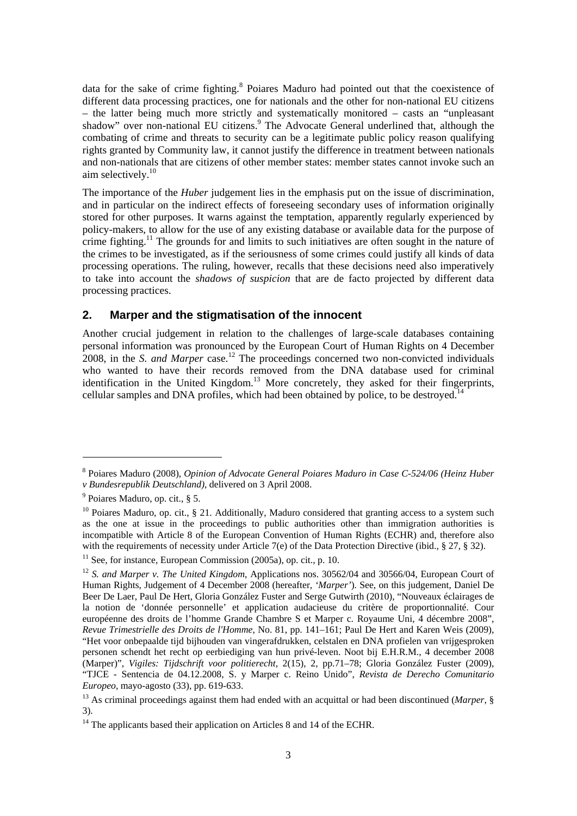data for the sake of crime fighting.<sup>8</sup> Poiares Maduro had pointed out that the coexistence of different data processing practices, one for nationals and the other for non-national EU citizens – the latter being much more strictly and systematically monitored – casts an "unpleasant shadow" over non-national EU citizens.<sup>9</sup> The Advocate General underlined that, although the combating of crime and threats to security can be a legitimate public policy reason qualifying rights granted by Community law, it cannot justify the difference in treatment between nationals and non-nationals that are citizens of other member states: member states cannot invoke such an aim selectively.<sup>10</sup>

The importance of the *Huber* judgement lies in the emphasis put on the issue of discrimination, and in particular on the indirect effects of foreseeing secondary uses of information originally stored for other purposes. It warns against the temptation, apparently regularly experienced by policy-makers, to allow for the use of any existing database or available data for the purpose of crime fighting.<sup>11</sup> The grounds for and limits to such initiatives are often sought in the nature of the crimes to be investigated, as if the seriousness of some crimes could justify all kinds of data processing operations. The ruling, however, recalls that these decisions need also imperatively to take into account the *shadows of suspicion* that are de facto projected by different data processing practices.

#### **2. Marper and the stigmatisation of the innocent**

Another crucial judgement in relation to the challenges of large-scale databases containing personal information was pronounced by the European Court of Human Rights on 4 December 2008, in the *S. and Marper* case.12 The proceedings concerned two non-convicted individuals who wanted to have their records removed from the DNA database used for criminal identification in the United Kingdom.<sup>13</sup> More concretely, they asked for their fingerprints, cellular samples and DNA profiles, which had been obtained by police, to be destroyed.<sup>14</sup>

1

<sup>8</sup> Poiares Maduro (2008), *Opinion of Advocate General Poiares Maduro in Case C-524/06 (Heinz Huber v Bundesrepublik Deutschland)*, delivered on 3 April 2008.

<sup>&</sup>lt;sup>9</sup> Poiares Maduro, op. cit., § 5.

<sup>&</sup>lt;sup>10</sup> Poiares Maduro, op. cit., § 21. Additionally, Maduro considered that granting access to a system such as the one at issue in the proceedings to public authorities other than immigration authorities is incompatible with Article 8 of the European Convention of Human Rights (ECHR) and, therefore also with the requirements of necessity under Article 7(e) of the Data Protection Directive (ibid., § 27, § 32).

 $11$  See, for instance, European Commission (2005a), op. cit., p. 10.

<sup>&</sup>lt;sup>12</sup> *S. and Marper v. The United Kingdom*, Applications nos. 30562/04 and 30566/04, European Court of Human Rights, Judgement of 4 December 2008 (hereafter, *'Marper'*). See, on this judgement, Daniel De Beer De Laer, Paul De Hert, Gloria González Fuster and Serge Gutwirth (2010), "Nouveaux éclairages de la notion de 'donnée personnelle' et application audacieuse du critère de proportionnalité. Cour européenne des droits de l'homme Grande Chambre S et Marper c. Royaume Uni, 4 décembre 2008", *Revue Trimestrielle des Droits de l'Homme,* No. 81, pp. 141–161; Paul De Hert and Karen Weis (2009), "Het voor onbepaalde tijd bijhouden van vingerafdrukken, celstalen en DNA profielen van vrijgesproken personen schendt het recht op eerbiediging van hun privé-leven. Noot bij E.H.R.M., 4 december 2008 (Marper)", *Vigiles: Tijdschrift voor politierecht*, 2(15), 2, pp.71–78; Gloria González Fuster (2009), "TJCE - Sentencia de 04.12.2008, S. y Marper c. Reino Unido", *Revista de Derecho Comunitario Europeo*, mayo-agosto (33), pp. 619-633.

<sup>13</sup> As criminal proceedings against them had ended with an acquittal or had been discontinued (*Marper*, § 3).

 $14$  The applicants based their application on Articles 8 and 14 of the ECHR.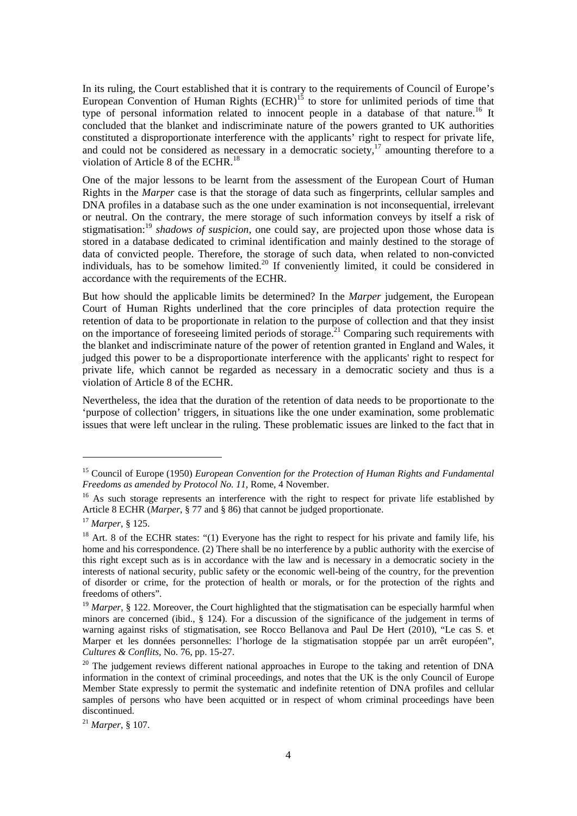In its ruling, the Court established that it is contrary to the requirements of Council of Europe's European Convention of Human Rights  $(ECHR)^{15}$  to store for unlimited periods of time that type of personal information related to innocent people in a database of that nature.16 It concluded that the blanket and indiscriminate nature of the powers granted to UK authorities constituted a disproportionate interference with the applicants' right to respect for private life, and could not be considered as necessary in a democratic society,  $17$  amounting therefore to a violation of Article 8 of the ECHR.<sup>18</sup>

One of the major lessons to be learnt from the assessment of the European Court of Human Rights in the *Marper* case is that the storage of data such as fingerprints, cellular samples and DNA profiles in a database such as the one under examination is not inconsequential, irrelevant or neutral. On the contrary, the mere storage of such information conveys by itself a risk of stigmatisation:19 *shadows of suspicion*, one could say, are projected upon those whose data is stored in a database dedicated to criminal identification and mainly destined to the storage of data of convicted people. Therefore, the storage of such data, when related to non-convicted individuals, has to be somehow limited.<sup>20</sup> If conveniently limited, it could be considered in accordance with the requirements of the ECHR.

But how should the applicable limits be determined? In the *Marper* judgement, the European Court of Human Rights underlined that the core principles of data protection require the retention of data to be proportionate in relation to the purpose of collection and that they insist on the importance of foreseeing limited periods of storage.<sup>21</sup> Comparing such requirements with the blanket and indiscriminate nature of the power of retention granted in England and Wales, it judged this power to be a disproportionate interference with the applicants' right to respect for private life, which cannot be regarded as necessary in a democratic society and thus is a violation of Article 8 of the ECHR.

Nevertheless, the idea that the duration of the retention of data needs to be proportionate to the 'purpose of collection' triggers, in situations like the one under examination, some problematic issues that were left unclear in the ruling. These problematic issues are linked to the fact that in

1

<sup>15</sup> Council of Europe (1950) *European Convention for the Protection of Human Rights and Fundamental Freedoms as amended by Protocol No. 11*, Rome, 4 November.

<sup>&</sup>lt;sup>16</sup> As such storage represents an interference with the right to respect for private life established by Article 8 ECHR (*Marper*, § 77 and § 86) that cannot be judged proportionate.

<sup>&</sup>lt;sup>17</sup> *Marper*, § 125.<br><sup>18</sup> Art. 8 of the ECHR states: "(1) Everyone has the right to respect for his private and family life, his home and his correspondence. (2) There shall be no interference by a public authority with the exercise of this right except such as is in accordance with the law and is necessary in a democratic society in the interests of national security, public safety or the economic well-being of the country, for the prevention of disorder or crime, for the protection of health or morals, or for the protection of the rights and freedoms of others".

<sup>&</sup>lt;sup>19</sup> Marper, § 122. Moreover, the Court highlighted that the stigmatisation can be especially harmful when minors are concerned (ibid., § 124). For a discussion of the significance of the judgement in terms of warning against risks of stigmatisation, see Rocco Bellanova and Paul De Hert (2010), "Le cas S. et Marper et les données personnelles: l'horloge de la stigmatisation stoppée par un arrêt européen", *Cultures & Conflits,* No. 76, pp. 15-27.

 $20$  The judgement reviews different national approaches in Europe to the taking and retention of DNA information in the context of criminal proceedings, and notes that the UK is the only Council of Europe Member State expressly to permit the systematic and indefinite retention of DNA profiles and cellular samples of persons who have been acquitted or in respect of whom criminal proceedings have been discontinued.

<sup>21</sup> *Marper*, § 107.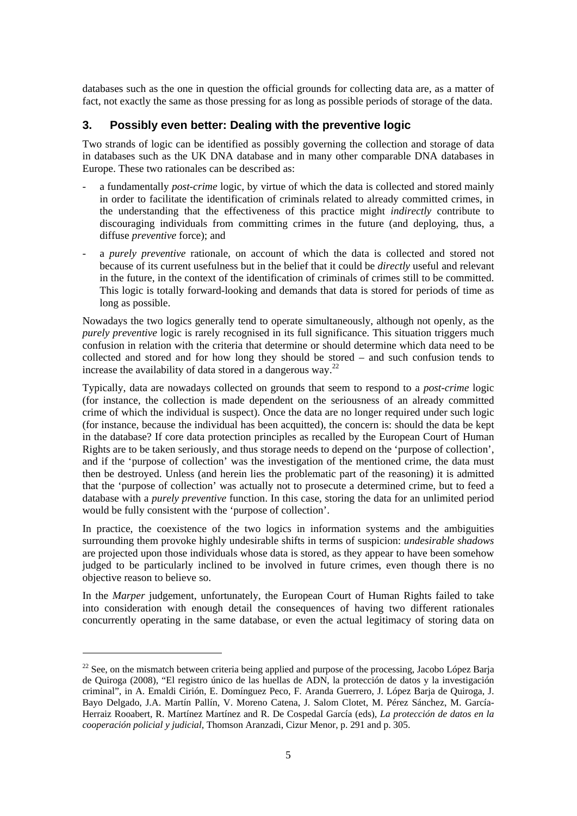databases such as the one in question the official grounds for collecting data are, as a matter of fact, not exactly the same as those pressing for as long as possible periods of storage of the data.

## **3. Possibly even better: Dealing with the preventive logic**

Two strands of logic can be identified as possibly governing the collection and storage of data in databases such as the UK DNA database and in many other comparable DNA databases in Europe. These two rationales can be described as:

- a fundamentally *post-crime* logic, by virtue of which the data is collected and stored mainly in order to facilitate the identification of criminals related to already committed crimes, in the understanding that the effectiveness of this practice might *indirectly* contribute to discouraging individuals from committing crimes in the future (and deploying, thus, a diffuse *preventive* force); and
- a *purely preventive* rationale, on account of which the data is collected and stored not because of its current usefulness but in the belief that it could be *directly* useful and relevant in the future, in the context of the identification of criminals of crimes still to be committed. This logic is totally forward-looking and demands that data is stored for periods of time as long as possible.

Nowadays the two logics generally tend to operate simultaneously, although not openly, as the *purely preventive* logic is rarely recognised in its full significance. This situation triggers much confusion in relation with the criteria that determine or should determine which data need to be collected and stored and for how long they should be stored – and such confusion tends to increase the availability of data stored in a dangerous way. $^{22}$ 

Typically, data are nowadays collected on grounds that seem to respond to a *post-crime* logic (for instance, the collection is made dependent on the seriousness of an already committed crime of which the individual is suspect). Once the data are no longer required under such logic (for instance, because the individual has been acquitted), the concern is: should the data be kept in the database? If core data protection principles as recalled by the European Court of Human Rights are to be taken seriously, and thus storage needs to depend on the 'purpose of collection', and if the 'purpose of collection' was the investigation of the mentioned crime, the data must then be destroyed. Unless (and herein lies the problematic part of the reasoning) it is admitted that the 'purpose of collection' was actually not to prosecute a determined crime, but to feed a database with a *purely preventive* function. In this case, storing the data for an unlimited period would be fully consistent with the 'purpose of collection'.

In practice, the coexistence of the two logics in information systems and the ambiguities surrounding them provoke highly undesirable shifts in terms of suspicion: *undesirable shadows* are projected upon those individuals whose data is stored, as they appear to have been somehow judged to be particularly inclined to be involved in future crimes, even though there is no objective reason to believe so.

In the *Marper* judgement, unfortunately, the European Court of Human Rights failed to take into consideration with enough detail the consequences of having two different rationales concurrently operating in the same database, or even the actual legitimacy of storing data on

-

 $22$  See, on the mismatch between criteria being applied and purpose of the processing, Jacobo López Barja de Quiroga (2008), "El registro único de las huellas de ADN, la protección de datos y la investigación criminal", in A. Emaldi Cirión, E. Domínguez Peco, F. Aranda Guerrero, J. López Barja de Quiroga, J. Bayo Delgado, J.A. Martín Pallín, V. Moreno Catena, J. Salom Clotet, M. Pérez Sánchez, M. García-Herraiz Rooabert, R. Martínez Martínez and R. De Cospedal García (eds), *La protección de datos en la cooperación policial y judicial*, Thomson Aranzadi, Cizur Menor, p. 291 and p. 305.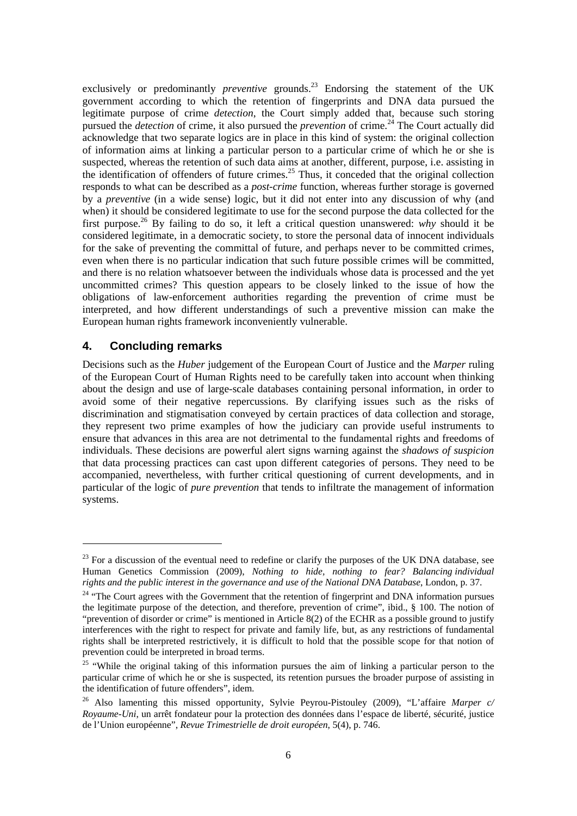exclusively or predominantly *preventive* grounds.<sup>23</sup> Endorsing the statement of the UK government according to which the retention of fingerprints and DNA data pursued the legitimate purpose of crime *detection*, the Court simply added that, because such storing pursued the *detection* of crime, it also pursued the *prevention* of crime.<sup>24</sup> The Court actually did acknowledge that two separate logics are in place in this kind of system: the original collection of information aims at linking a particular person to a particular crime of which he or she is suspected, whereas the retention of such data aims at another, different, purpose, i.e. assisting in the identification of offenders of future crimes.<sup>25</sup> Thus, it conceded that the original collection responds to what can be described as a *post-crime* function, whereas further storage is governed by a *preventive* (in a wide sense) logic, but it did not enter into any discussion of why (and when) it should be considered legitimate to use for the second purpose the data collected for the first purpose.26 By failing to do so, it left a critical question unanswered: *why* should it be considered legitimate, in a democratic society, to store the personal data of innocent individuals for the sake of preventing the committal of future, and perhaps never to be committed crimes, even when there is no particular indication that such future possible crimes will be committed, and there is no relation whatsoever between the individuals whose data is processed and the yet uncommitted crimes? This question appears to be closely linked to the issue of how the obligations of law-enforcement authorities regarding the prevention of crime must be interpreted, and how different understandings of such a preventive mission can make the European human rights framework inconveniently vulnerable.

#### **4. Concluding remarks**

-

Decisions such as the *Huber* judgement of the European Court of Justice and the *Marper* ruling of the European Court of Human Rights need to be carefully taken into account when thinking about the design and use of large-scale databases containing personal information, in order to avoid some of their negative repercussions. By clarifying issues such as the risks of discrimination and stigmatisation conveyed by certain practices of data collection and storage, they represent two prime examples of how the judiciary can provide useful instruments to ensure that advances in this area are not detrimental to the fundamental rights and freedoms of individuals. These decisions are powerful alert signs warning against the *shadows of suspicion*  that data processing practices can cast upon different categories of persons. They need to be accompanied, nevertheless, with further critical questioning of current developments, and in particular of the logic of *pure prevention* that tends to infiltrate the management of information systems.

 $^{23}$  For a discussion of the eventual need to redefine or clarify the purposes of the UK DNA database, see Human Genetics Commission (2009), *Nothing to hide, nothing to fear? Balancing individual rights and the public interest in the governance and use of the National DNA Database*, London, p. 37.

<sup>&</sup>lt;sup>24</sup> "The Court agrees with the Government that the retention of fingerprint and DNA information pursues the legitimate purpose of the detection, and therefore, prevention of crime", ibid., § 100. The notion of "prevention of disorder or crime" is mentioned in Article 8(2) of the ECHR as a possible ground to justify interferences with the right to respect for private and family life, but, as any restrictions of fundamental rights shall be interpreted restrictively, it is difficult to hold that the possible scope for that notion of prevention could be interpreted in broad terms.

<sup>&</sup>lt;sup>25</sup> "While the original taking of this information pursues the aim of linking a particular person to the particular crime of which he or she is suspected, its retention pursues the broader purpose of assisting in the identification of future offenders", idem.

<sup>26</sup> Also lamenting this missed opportunity, Sylvie Peyrou-Pistouley (2009), "L'affaire *Marper c/ Royaume-Uni*, un arrêt fondateur pour la protection des données dans l'espace de liberté, sécurité, justice de l'Union européenne", *Revue Trimestrielle de droit européen*, 5(4), p. 746.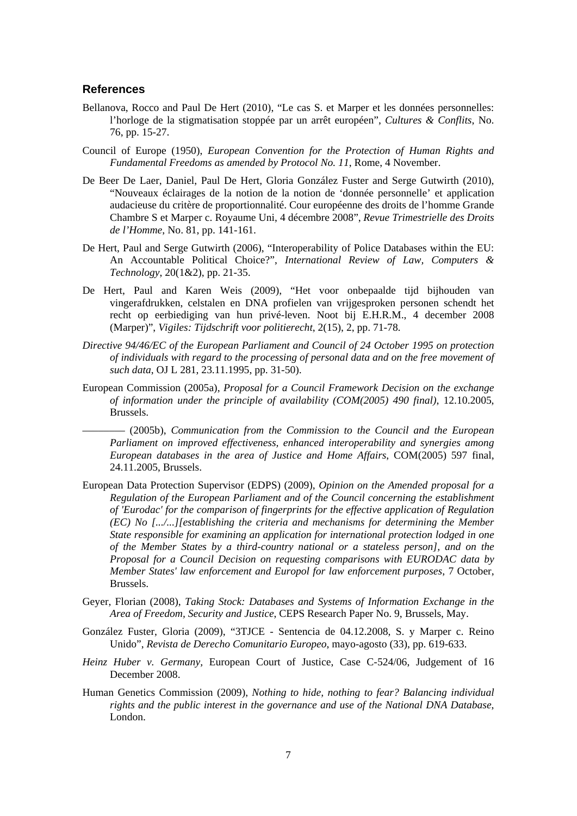#### **References**

- Bellanova, Rocco and Paul De Hert (2010), "Le cas S. et Marper et les données personnelles: l'horloge de la stigmatisation stoppée par un arrêt européen", *Cultures & Conflits*, No. 76, pp. 15-27.
- Council of Europe (1950), *European Convention for the Protection of Human Rights and Fundamental Freedoms as amended by Protocol No. 11*, Rome, 4 November.
- De Beer De Laer, Daniel, Paul De Hert, Gloria González Fuster and Serge Gutwirth (2010), "Nouveaux éclairages de la notion de la notion de 'donnée personnelle' et application audacieuse du critère de proportionnalité. Cour européenne des droits de l'homme Grande Chambre S et Marper c. Royaume Uni, 4 décembre 2008", *Revue Trimestrielle des Droits de l'Homme*, No. 81, pp. 141-161.
- De Hert, Paul and Serge Gutwirth (2006), "Interoperability of Police Databases within the EU: An Accountable Political Choice?", *International Review of Law, Computers & Technology*, 20(1&2), pp. 21-35.
- De Hert, Paul and Karen Weis (2009), "Het voor onbepaalde tijd bijhouden van vingerafdrukken, celstalen en DNA profielen van vrijgesproken personen schendt het recht op eerbiediging van hun privé-leven. Noot bij E.H.R.M., 4 december 2008 (Marper)", *Vigiles: Tijdschrift voor politierecht*, 2(15), 2, pp. 71-78.
- *Directive 94/46/EC of the European Parliament and Council of 24 October 1995 on protection of individuals with regard to the processing of personal data and on the free movement of such data*, OJ L 281, 23.11.1995, pp. 31-50).
- European Commission (2005a), *Proposal for a Council Framework Decision on the exchange of information under the principle of availability (COM(2005) 490 final)*, 12.10.2005, Brussels.

–––––––– (2005b), *Communication from the Commission to the Council and the European Parliament on improved effectiveness, enhanced interoperability and synergies among European databases in the area of Justice and Home Affairs*, COM(2005) 597 final, 24.11.2005, Brussels.

- European Data Protection Supervisor (EDPS) (2009), *Opinion on the Amended proposal for a Regulation of the European Parliament and of the Council concerning the establishment of 'Eurodac' for the comparison of fingerprints for the effective application of Regulation (EC) No [.../...][establishing the criteria and mechanisms for determining the Member State responsible for examining an application for international protection lodged in one of the Member States by a third-country national or a stateless person], and on the Proposal for a Council Decision on requesting comparisons with EURODAC data by Member States' law enforcement and Europol for law enforcement purposes*, 7 October, Brussels.
- Geyer, Florian (2008), *Taking Stock: Databases and Systems of Information Exchange in the Area of Freedom, Security and Justice*, CEPS Research Paper No. 9, Brussels, May.
- González Fuster, Gloria (2009), "3TJCE Sentencia de 04.12.2008, S. y Marper c. Reino Unido", *Revista de Derecho Comunitario Europeo*, mayo-agosto (33), pp. 619-633.
- *Heinz Huber v. Germany,* European Court of Justice, Case C-524/06, Judgement of 16 December 2008.
- Human Genetics Commission (2009), *Nothing to hide, nothing to fear? Balancing individual rights and the public interest in the governance and use of the National DNA Database*, London.